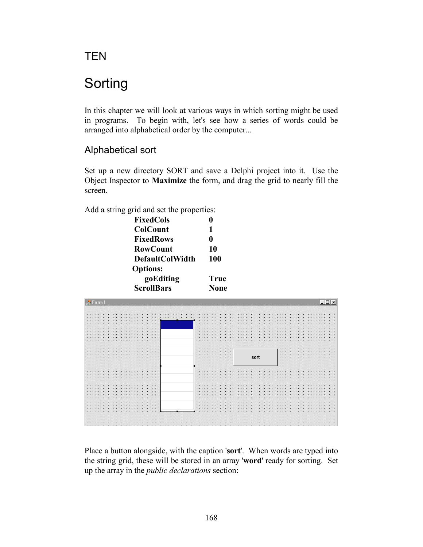**TEN** 

# Sorting

In this chapter we will look at various ways in which sorting might be used in programs. To begin with, let's see how a series of words could be arranged into alphabetical order by the computer...

# Alphabetical sort

Set up a new directory SORT and save a Delphi project into it. Use the Object Inspector to **Maximize** the form, and drag the grid to nearly fill the screen.

Add a string grid and set the properties:

| FixedCols         |      |
|-------------------|------|
| <b>ColCount</b>   | 1    |
| <b>FixedRows</b>  | 0    |
| <b>RowCount</b>   | 10   |
| DefaultColWidth   | 100  |
| <b>Options:</b>   |      |
| goEditing         | True |
| <b>ScrollBars</b> | None |



Place a button alongside, with the caption '**sort**'. When words are typed into the string grid, these will be stored in an array '**word**' ready for sorting. Set up the array in the *public declarations* section: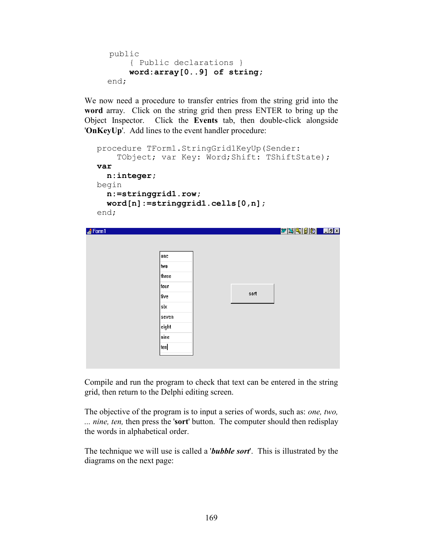```
public
     { Public declarations }
     word:array[0..9] of string;
 end;
```
We now need a procedure to transfer entries from the string grid into the **word** array. Click on the string grid then press ENTER to bring up the Object Inspector. Click the **Events** tab, then double-click alongside '**OnKeyUp**'. Add lines to the event handler procedure:

```
procedure TForm1.StringGrid1KeyUp(Sender:
       TObject; var Key: Word; Shift: TShiftState);
  var
     n:integer;
  begin
     n:=stringgrid1.row;
     word[n]:=stringgrid1.cells[0,n];
  end;
\triangleForm1
                                                Z SQD S
                  one)
                  two
                  three
                  four
                                        sort
                  five
                  six
                  seven
                  eight
                  nine
                  |ten|
```
Compile and run the program to check that text can be entered in the string grid, then return to the Delphi editing screen.

The objective of the program is to input a series of words, such as: *one, two, ... nine, ten,* then press the '**sort**' button. The computer should then redisplay the words in alphabetical order.

The technique we will use is called a '*bubble sort*'. This is illustrated by the diagrams on the next page: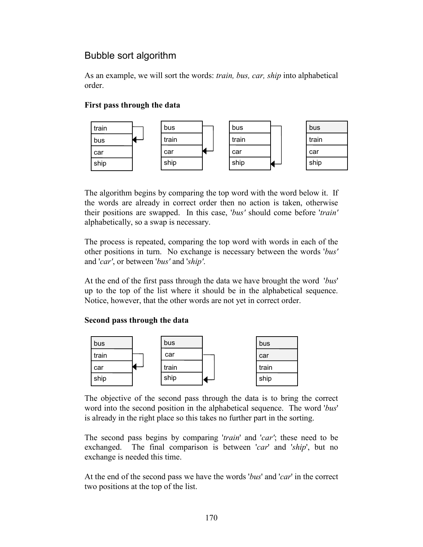# Bubble sort algorithm

As an example, we will sort the words: *train, bus, car, ship* into alphabetical order.

## **First pass through the data**



The algorithm begins by comparing the top word with the word below it. If the words are already in correct order then no action is taken, otherwise their positions are swapped. In this case, '*bus'* should come before '*train'*  alphabetically, so a swap is necessary.

The process is repeated, comparing the top word with words in each of the other positions in turn. No exchange is necessary between the words '*bus'* and '*car'*, or between '*bus'* and '*ship'*.

At the end of the first pass through the data we have brought the word '*bus*' up to the top of the list where it should be in the alphabetical sequence. Notice, however, that the other words are not yet in correct order.

### **Second pass through the data**



The objective of the second pass through the data is to bring the correct word into the second position in the alphabetical sequence. The word '*bus*' is already in the right place so this takes no further part in the sorting.

The second pass begins by comparing '*train*' and '*car'*; these need to be exchanged. The final comparison is between '*car*' and '*ship*', but no exchange is needed this time.

At the end of the second pass we have the words '*bus*' and '*car*' in the correct two positions at the top of the list.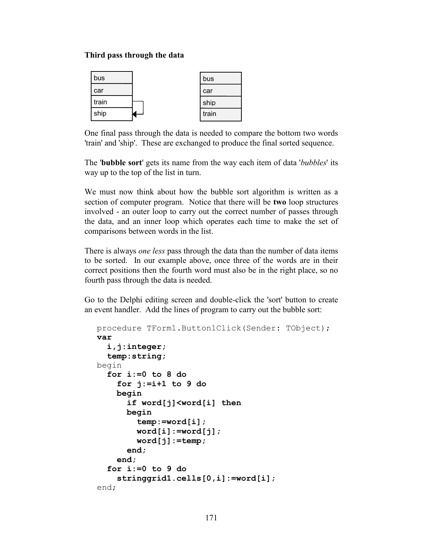#### **Third pass through the data**

| bus   | bus   |
|-------|-------|
| car   | car   |
| train | ship  |
| ship  | train |

One final pass through the data is needed to compare the bottom two words 'train' and 'ship'. These are exchanged to produce the final sorted sequence.

The '**bubble sort**' gets its name from the way each item of data '*bubbles*' its way up to the top of the list in turn.

We must now think about how the bubble sort algorithm is written as a section of computer program. Notice that there will be **two** loop structures involved - an outer loop to carry out the correct number of passes through the data, and an inner loop which operates each time to make the set of comparisons between words in the list.

There is always *one less* pass through the data than the number of data items to be sorted. In our example above, once three of the words are in their correct positions then the fourth word must also be in the right place, so no fourth pass through the data is needed.

Go to the Delphi editing screen and double-click the 'sort' button to create an event handler. Add the lines of program to carry out the bubble sort:

```
procedure TForm1.Button1Click(Sender: TObject);
var
   i,j:integer;
   temp:string;
begin
  for i:=0 to 8 do
     for j:=i+1 to 9 do
     begin
       if word[j]<word[i] then
       begin
          temp:=word[i];
         word[i]:=word[j];
         word[j]:=temp;
       end;
     end;
   for i:=0 to 9 do
     stringgrid1.cells[0,i]:=word[i];
end;
```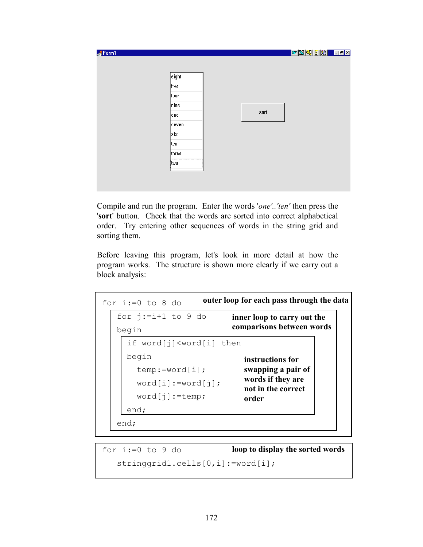| Form1 |  |      | WXQBB LEX |  |
|-------|--|------|-----------|--|
|       |  |      |           |  |
| eight |  |      |           |  |
| five  |  |      |           |  |
| four  |  |      |           |  |
| nine  |  |      |           |  |
| one   |  | sort |           |  |
| seven |  |      |           |  |
| six   |  |      |           |  |
| ten   |  |      |           |  |
| three |  |      |           |  |
| ∣two  |  |      |           |  |
|       |  |      |           |  |

Compile and run the program. Enter the words '*one'..'ten'* then press the '**sort**' button. Check that the words are sorted into correct alphabetical order. Try entering other sequences of words in the string grid and sorting them.

Before leaving this program, let's look in more detail at how the program works. The structure is shown more clearly if we carry out a block analysis:

```
for i:=0 to 8 do
    for j:=i+1 to 9 do
     begin
        if word[j]<word[i] then
        begin
          temp:=word[i];
          word[i]:=word[j];
          word[j]:=temp;
        end;
     end;
÷,
                          outer loop for each pass through the data
                                  inner loop to carry out the 
                                  comparisons between words
                                     instructions for 
                                     swapping a pair of 
                                     words if they are 
                                     not in the correct 
                                     order
```
for  $i:=0$  to 9 do stringgrid1.cells[0,i]:=word[i]; **loop to display the sorted words**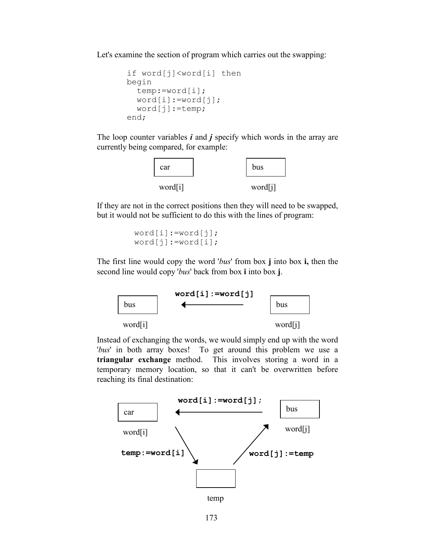Let's examine the section of program which carries out the swapping:

```
 if word[j]<word[i] then
 begin
   temp:=word[i];
   word[i]:=word[j];
   word[j]:=temp;
 end;
```
The loop counter variables *i* and *j* specify which words in the array are currently being compared, for example:



If they are not in the correct positions then they will need to be swapped, but it would not be sufficient to do this with the lines of program:

```
word[i]:=word[j];word[j]:=word[i];
```
The first line would copy the word '*bus*' from box **j** into box **i,** then the second line would copy '*bus*' back from box **i** into box **j**.



Instead of exchanging the words, we would simply end up with the word '*bus*' in both array boxes! To get around this problem we use a **triangular exchange** method. This involves storing a word in a temporary memory location, so that it can't be overwritten before reaching its final destination:

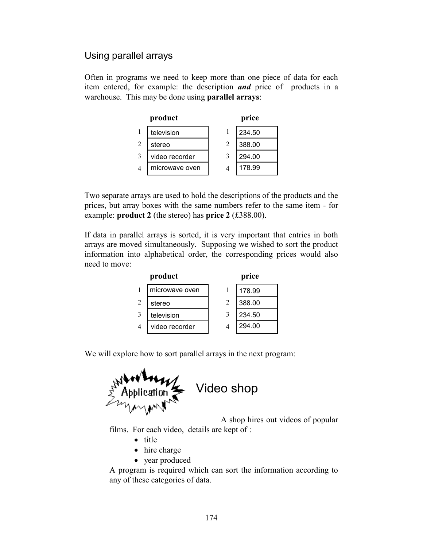## Using parallel arrays

Often in programs we need to keep more than one piece of data for each item entered, for example: the description *and* price of products in a warehouse. This may be done using **parallel arrays**:

|   | product        |   | price  |
|---|----------------|---|--------|
|   | television     |   | 234.50 |
| 2 | stereo         | 2 | 388.00 |
|   | video recorder | 3 | 294.00 |
|   | microwave oven |   | 178.99 |

Two separate arrays are used to hold the descriptions of the products and the prices, but array boxes with the same numbers refer to the same item - for example: **product 2** (the stereo) has **price 2** (£388.00).

If data in parallel arrays is sorted, it is very important that entries in both arrays are moved simultaneously. Supposing we wished to sort the product information into alphabetical order, the corresponding prices would also need to move:

|                | product        |   | price  |
|----------------|----------------|---|--------|
|                | microwave oven |   | 178.99 |
| $\mathfrak{D}$ | stereo         | 2 | 388.00 |
| 3              | television     | 3 | 234.50 |
| $\overline{4}$ | video recorder |   | 294.00 |

We will explore how to sort parallel arrays in the next program:



A shop hires out videos of popular

films. For each video, details are kept of :

- title
- hire charge
- year produced

A program is required which can sort the information according to any of these categories of data.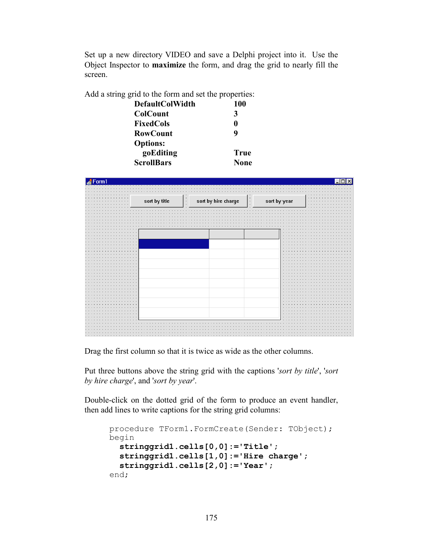Set up a new directory VIDEO and save a Delphi project into it. Use the Object Inspector to **maximize** the form, and drag the grid to nearly fill the screen.

Add a string grid to the form and set the properties:

| <b>DefaultColWidth</b> | 100         |
|------------------------|-------------|
| <b>ColCount</b>        | 3           |
| FixedCols              | O           |
| <b>RowCount</b>        | 9           |
| <b>Options:</b>        |             |
| goEditing              | True        |
| <b>ScrollBars</b>      | <b>None</b> |



Drag the first column so that it is twice as wide as the other columns.

Put three buttons above the string grid with the captions '*sort by title*', '*sort by hire charge*', and '*sort by year*'.

Double-click on the dotted grid of the form to produce an event handler, then add lines to write captions for the string grid columns:

```
procedure TForm1.FormCreate(Sender: TObject);
begin
   stringgrid1.cells[0,0]:='Title';
   stringgrid1.cells[1,0]:='Hire charge';
   stringgrid1.cells[2,0]:='Year';
end;
```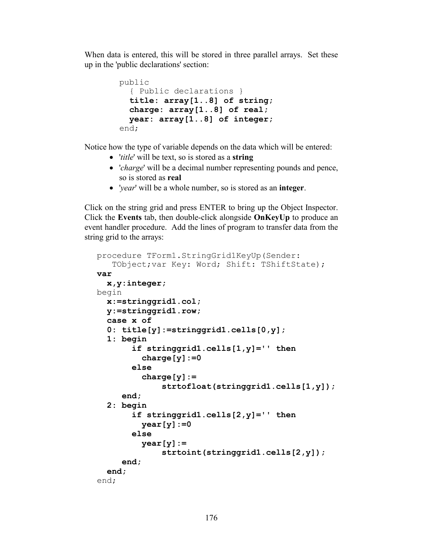When data is entered, this will be stored in three parallel arrays. Set these up in the 'public declarations' section:

```
 public
   { Public declarations }
   title: array[1..8] of string;
   charge: array[1..8] of real;
   year: array[1..8] of integer;
 end;
```
Notice how the type of variable depends on the data which will be entered:

- '*title*' will be text, so is stored as a **string**
- '*charge*' will be a decimal number representing pounds and pence, so is stored as **real**
- '*year*' will be a whole number, so is stored as an **integer**.

Click on the string grid and press ENTER to bring up the Object Inspector. Click the **Events** tab, then double-click alongside **OnKeyUp** to produce an event handler procedure. Add the lines of program to transfer data from the string grid to the arrays:

```
procedure TForm1.StringGrid1KeyUp(Sender:
   TObject; var Key: Word; Shift: TShiftState);
var
   x,y:integer;
begin
   x:=stringgrid1.col;
   y:=stringgrid1.row;
   case x of
   0: title[y]:=stringgrid1.cells[0,y];
   1: begin
        if stringgrid1.cells[1,y]='' then
          charge[y]:=0
        else
          charge[y]:=
               strtofloat(stringgrid1.cells[1,y]);
      end;
   2: begin
        if stringgrid1.cells[2,y]='' then
          year[y]:=0
        else
          year[y]:=
               strtoint(stringgrid1.cells[2,y]);
      end;
   end;
end;
```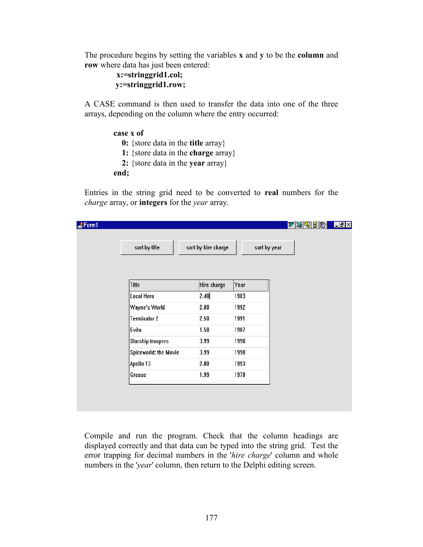The procedure begins by setting the variables **x** and **y** to be the **column** and **row** where data has just been entered:

```
x:=stringgrid1.col;
 y:=stringgrid1.row;
```
A CASE command is then used to transfer the data into one of the three arrays, depending on the column where the entry occurred:

```
 case x of
   0: {store data in the title array} 
   1: {store data in the charge array} 
   2: {store data in the year array} 
 end;
```
Entries in the string grid need to be converted to **real** numbers for the *charge* array, or **integers** for the *year* array.

| Form1 |                          |                     |              | $w$ sqies | H |
|-------|--------------------------|---------------------|--------------|-----------|---|
|       |                          |                     |              |           |   |
|       | sort by title            | sort by hire charge | sort by year |           |   |
|       |                          |                     |              |           |   |
|       |                          |                     |              |           |   |
|       | Title                    | Hire charge         | Year         |           |   |
|       | Local Hero               | 2.40                | 1983         |           |   |
|       | Wayne's World            | 2.00                | 1992         |           |   |
|       | <b>Terminator 2</b>      | 2.50                | 1991         |           |   |
|       | Evita                    | 1.50                | 1987         |           |   |
|       | <b>Starship troopers</b> | 3.99                | 1998         |           |   |
|       | Spiceworld: the Movie    | 3.99                | 1998         |           |   |
|       | Apollo 13                | 2.00                | 1993         |           |   |
|       | Grease                   | 1.99                | 1978         |           |   |
|       |                          |                     |              |           |   |
|       |                          |                     |              |           |   |

Compile and run the program. Check that the column headings are displayed correctly and that data can be typed into the string grid. Test the error trapping for decimal numbers in the '*hire charge*' column and whole numbers in the '*year*' column, then return to the Delphi editing screen.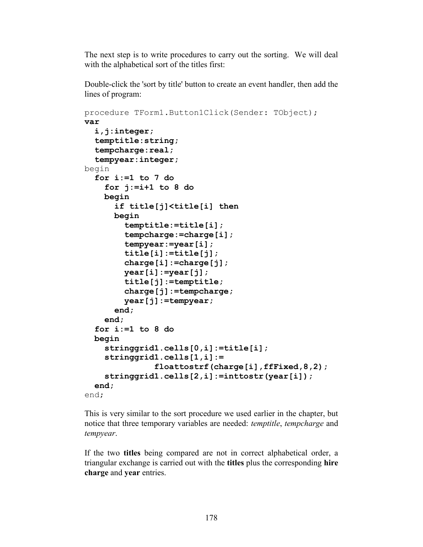The next step is to write procedures to carry out the sorting. We will deal with the alphabetical sort of the titles first:

Double-click the 'sort by title' button to create an event handler, then add the lines of program:

```
procedure TForm1.Button1Click(Sender: TObject);
var
   i,j:integer;
   temptitle:string;
   tempcharge:real;
   tempyear:integer;
begin
  for i:=1 to 7 do
     for j:=i+1 to 8 do
     begin
       if title[j]<title[i] then
       begin
         temptitle:=title[i];
         tempcharge:=charge[i];
         tempyear:=year[i];
         title[i]:=title[j];
         charge[i]:=charge[j];
         year[i]:=year[j];
         title[j]:=temptitle;
         charge[j]:=tempcharge;
         year[j]:=tempyear;
       end;
     end;
   for i:=1 to 8 do
   begin
     stringgrid1.cells[0,i]:=title[i];
     stringgrid1.cells[1,i]:=
                floattostrf(charge[i],ffFixed,8,2);
     stringgrid1.cells[2,i]:=inttostr(year[i]);
   end;
end;
```
This is very similar to the sort procedure we used earlier in the chapter, but notice that three temporary variables are needed: *temptitle*, *tempcharge* and *tempyear*.

If the two **titles** being compared are not in correct alphabetical order, a triangular exchange is carried out with the **titles** plus the corresponding **hire charge** and **year** entries.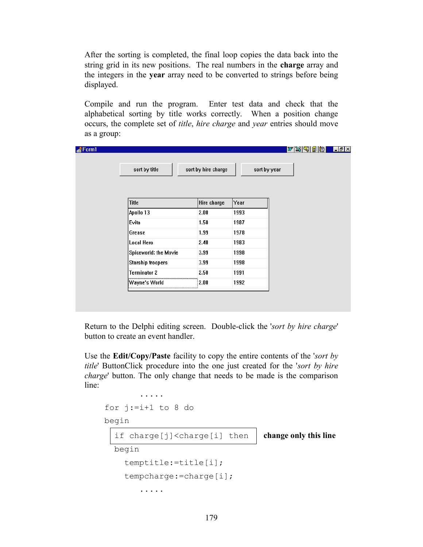After the sorting is completed, the final loop copies the data back into the string grid in its new positions. The real numbers in the **charge** array and the integers in the **year** array need to be converted to strings before being displayed.

Compile and run the program. Enter test data and check that the alphabetical sorting by title works correctly. When a position change occurs, the complete set of *title*, *hire charge* and *year* entries should move as a group:

|                          |                     |      | $ w \mathbb{X} \mathbb{Q} $ direction $ w $<br>$\Box$ e $\mathbf{X}$ |
|--------------------------|---------------------|------|----------------------------------------------------------------------|
| sort by title            | sort by hire charge |      | sort by year                                                         |
| <b>Title</b>             | Hire charge         | Year |                                                                      |
| Apollo 13                | 2.00                | 1993 |                                                                      |
| Evita                    | 1.50                | 1987 |                                                                      |
| Grease                   | 1.99                | 1978 |                                                                      |
| Local Hero               | 2.40                | 1983 |                                                                      |
| Spiceworld: the Movie    | 3.99                | 1998 |                                                                      |
| <b>Starship troopers</b> | 3.99                | 1998 |                                                                      |
| <b>Terminator 2</b>      | 2.50                | 1991 |                                                                      |
|                          |                     | 1992 |                                                                      |

Return to the Delphi editing screen. Double-click the '*sort by hire charge*' button to create an event handler.

Use the **Edit/Copy/Paste** facility to copy the entire contents of the '*sort by title*' ButtonClick procedure into the one just created for the '*sort by hire charge*' button. The only change that needs to be made is the comparison line:

```
 .....
for i:=i+1 to 8 do
 begin
  if charge[j]<charge[i] then | change only this line
   begin 
     temptitle:=title[i];
     tempcharge:=charge[i];
         .....
```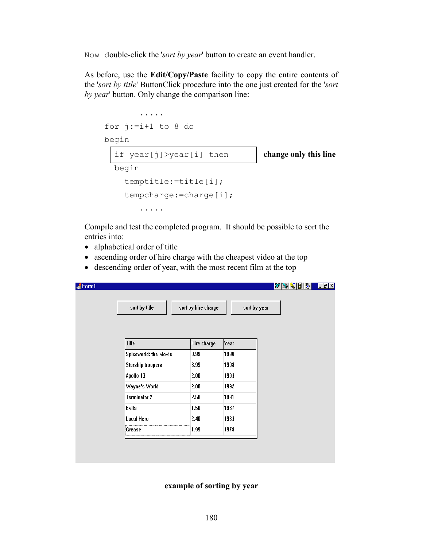Now double-click the '*sort by year*' button to create an event handler.

As before, use the **Edit/Copy/Paste** facility to copy the entire contents of the '*sort by title*' ButtonClick procedure into the one just created for the '*sort by year*' button. Only change the comparison line:

```
 .....
for j:=i+1 to 8 do
 begin
   if year[j]>year[i] then change only this line
   begin 
     temptitle:=title[i];
     tempcharge:=charge[i];
         .....
```
Compile and test the completed program. It should be possible to sort the entries into:

- alphabetical order of title
- ascending order of hire charge with the cheapest video at the top
- descending order of year, with the most recent film at the top

| Form1 |                          |                     |              | $ w $ x $ w $ b $ w $ | $\Box$ e $\bm{x}$ |
|-------|--------------------------|---------------------|--------------|-----------------------|-------------------|
|       |                          |                     |              |                       |                   |
|       | sort by title            | sort by hire charge | sort by year |                       |                   |
|       |                          |                     |              |                       |                   |
|       |                          |                     |              |                       |                   |
|       | <b>Title</b>             | Hire charge         | Year         |                       |                   |
|       | Spiceworld: the Movie    | 3.99                | 1998         |                       |                   |
|       | <b>Starship troopers</b> | 3.99                | 1998         |                       |                   |
|       | Apollo 13                | 2.00                | 1993         |                       |                   |
|       | Wayne's World            | 2.00                | 1992         |                       |                   |
|       | <b>Terminator 2</b>      | 2.50                | 1991         |                       |                   |
|       | Evita                    | 1.50                | 1987         |                       |                   |
|       | Local Hero               | 2.40                | 1983         |                       |                   |
|       | Grease                   | 1.99                | 1978         |                       |                   |
|       |                          |                     |              |                       |                   |
|       |                          |                     |              |                       |                   |
|       |                          |                     |              |                       |                   |

**example of sorting by year**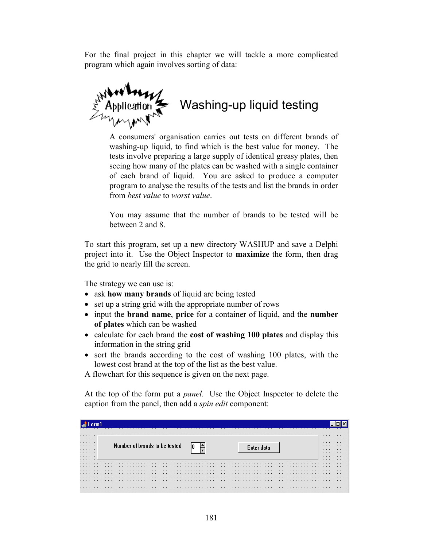For the final project in this chapter we will tackle a more complicated program which again involves sorting of data:

Washing-up liquid testing

A consumers' organisation carries out tests on different brands of washing-up liquid, to find which is the best value for money. The tests involve preparing a large supply of identical greasy plates, then seeing how many of the plates can be washed with a single container of each brand of liquid. You are asked to produce a computer program to analyse the results of the tests and list the brands in order from *best value* to *worst value*.

You may assume that the number of brands to be tested will be between 2 and 8.

To start this program, set up a new directory WASHUP and save a Delphi project into it. Use the Object Inspector to **maximize** the form, then drag the grid to nearly fill the screen.

The strategy we can use is:

- ask **how many brands** of liquid are being tested
- set up a string grid with the appropriate number of rows
- input the **brand name**, **price** for a container of liquid, and the **number of plates** which can be washed
- calculate for each brand the **cost of washing 100 plates** and display this information in the string grid
- sort the brands according to the cost of washing 100 plates, with the lowest cost brand at the top of the list as the best value.

A flowchart for this sequence is given on the next page.

At the top of the form put a *panel.* Use the Object Inspector to delete the caption from the panel, then add a *spin edit* component:

|             |  |  |  |  |  |  |  |  |  |  |  |                               |  |  |  |  |  |  |  |  |            |  |  |  |  |  |  |  |  | .           |  |
|-------------|--|--|--|--|--|--|--|--|--|--|--|-------------------------------|--|--|--|--|--|--|--|--|------------|--|--|--|--|--|--|--|--|-------------|--|
| .<br>.<br>. |  |  |  |  |  |  |  |  |  |  |  |                               |  |  |  |  |  |  |  |  |            |  |  |  |  |  |  |  |  | .<br>.<br>. |  |
| .<br>.<br>. |  |  |  |  |  |  |  |  |  |  |  | Number of brands to be tested |  |  |  |  |  |  |  |  | Enter data |  |  |  |  |  |  |  |  | .<br>.<br>. |  |
| .<br>.      |  |  |  |  |  |  |  |  |  |  |  |                               |  |  |  |  |  |  |  |  |            |  |  |  |  |  |  |  |  | .<br>.      |  |
|             |  |  |  |  |  |  |  |  |  |  |  |                               |  |  |  |  |  |  |  |  |            |  |  |  |  |  |  |  |  |             |  |
|             |  |  |  |  |  |  |  |  |  |  |  |                               |  |  |  |  |  |  |  |  |            |  |  |  |  |  |  |  |  |             |  |
|             |  |  |  |  |  |  |  |  |  |  |  |                               |  |  |  |  |  |  |  |  |            |  |  |  |  |  |  |  |  |             |  |
|             |  |  |  |  |  |  |  |  |  |  |  |                               |  |  |  |  |  |  |  |  |            |  |  |  |  |  |  |  |  |             |  |
|             |  |  |  |  |  |  |  |  |  |  |  |                               |  |  |  |  |  |  |  |  |            |  |  |  |  |  |  |  |  |             |  |
|             |  |  |  |  |  |  |  |  |  |  |  |                               |  |  |  |  |  |  |  |  |            |  |  |  |  |  |  |  |  |             |  |
|             |  |  |  |  |  |  |  |  |  |  |  |                               |  |  |  |  |  |  |  |  |            |  |  |  |  |  |  |  |  |             |  |
|             |  |  |  |  |  |  |  |  |  |  |  |                               |  |  |  |  |  |  |  |  |            |  |  |  |  |  |  |  |  |             |  |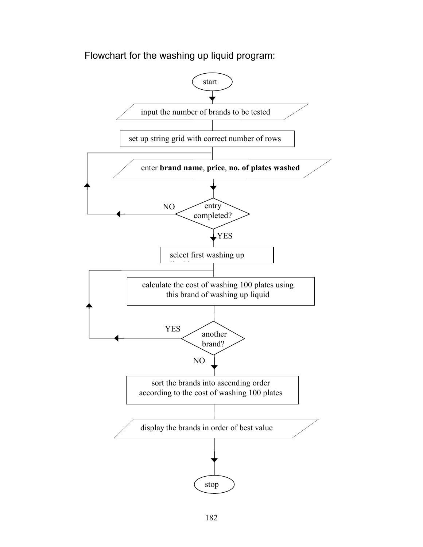Flowchart for the washing up liquid program:

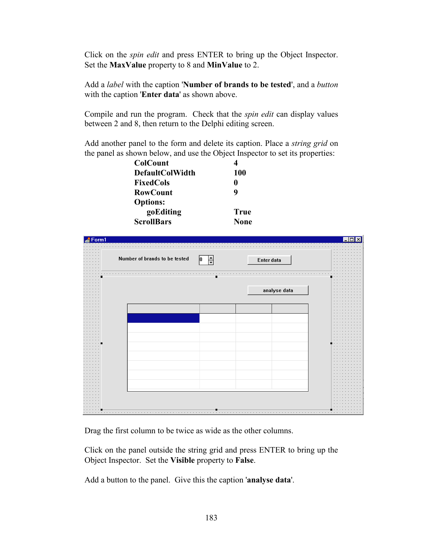Click on the *spin edit* and press ENTER to bring up the Object Inspector. Set the **MaxValue** property to 8 and **MinValue** to 2.

Add a *label* with the caption '**Number of brands to be tested**', and a *button*  with the caption '**Enter data**' as shown above.

Compile and run the program. Check that the *spin edit* can display values between 2 and 8, then return to the Delphi editing screen.

Add another panel to the form and delete its caption. Place a *string grid* on the panel as shown below, and use the Object Inspector to set its properties:

| 100         |
|-------------|
| O           |
| 9           |
|             |
| True        |
| <b>None</b> |
|             |



Drag the first column to be twice as wide as the other columns.

Click on the panel outside the string grid and press ENTER to bring up the Object Inspector. Set the **Visible** property to **False**.

Add a button to the panel. Give this the caption '**analyse data**'.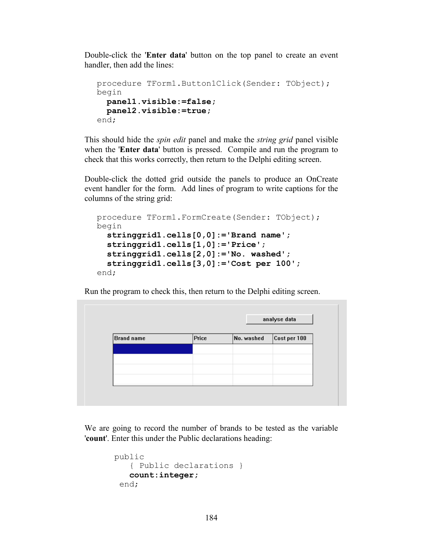Double-click the '**Enter data**' button on the top panel to create an event handler, then add the lines:

```
procedure TForm1.Button1Click(Sender: TObject);
begin
  panel1.visible:=false;
   panel2.visible:=true;
end;
```
This should hide the *spin edit* panel and make the *string grid* panel visible when the '**Enter data**' button is pressed. Compile and run the program to check that this works correctly, then return to the Delphi editing screen.

Double-click the dotted grid outside the panels to produce an OnCreate event handler for the form. Add lines of program to write captions for the columns of the string grid:

```
procedure TForm1.FormCreate(Sender: TObject);
begin
  stringgrid1.cells[0,0]:='Brand name';
   stringgrid1.cells[1,0]:='Price';
   stringgrid1.cells[2,0]:='No. washed';
   stringgrid1.cells[3,0]:='Cost per 100';
end;
```
Run the program to check this, then return to the Delphi editing screen.

| Brand name | Price | No. washed | Cost per 100 |
|------------|-------|------------|--------------|
|            |       |            |              |
|            |       |            |              |
|            |       |            |              |
|            |       |            |              |

We are going to record the number of brands to be tested as the variable '**count**'. Enter this under the Public declarations heading:

```
public
    { Public declarations }
    count:integer;
  end;
```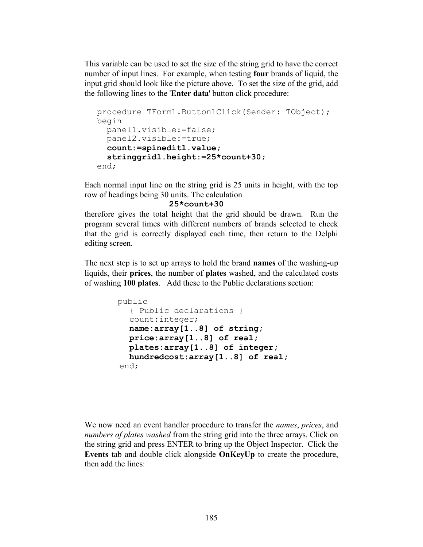This variable can be used to set the size of the string grid to have the correct number of input lines. For example, when testing **four** brands of liquid, the input grid should look like the picture above. To set the size of the grid, add the following lines to the '**Enter data**' button click procedure:

```
procedure TForm1.Button1Click(Sender: TObject);
begin
   panel1.visible:=false;
   panel2.visible:=true;
   count:=spinedit1.value;
   stringgrid1.height:=25*count+30;
end;
```
Each normal input line on the string grid is 25 units in height, with the top row of headings being 30 units. The calculation

#### **25\*count+30**

therefore gives the total height that the grid should be drawn. Run the program several times with different numbers of brands selected to check that the grid is correctly displayed each time, then return to the Delphi editing screen.

The next step is to set up arrays to hold the brand **names** of the washing-up liquids, their **prices**, the number of **plates** washed, and the calculated costs of washing **100 plates**. Add these to the Public declarations section:

```
 public
   { Public declarations }
   count:integer;
   name:array[1..8] of string;
   price:array[1..8] of real;
   plates:array[1..8] of integer;
   hundredcost:array[1..8] of real;
 end;
```
We now need an event handler procedure to transfer the *names*, *prices*, and *numbers of plates washed* from the string grid into the three arrays. Click on the string grid and press ENTER to bring up the Object Inspector. Click the **Events** tab and double click alongside **OnKeyUp** to create the procedure, then add the lines: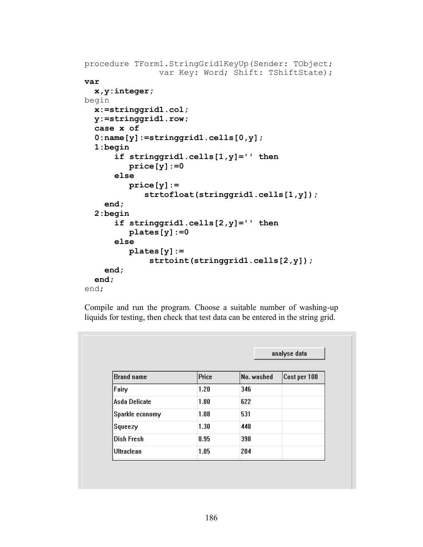```
procedure TForm1.StringGrid1KeyUp(Sender: TObject;
                var Key: Word; Shift: TShiftState);
var
   x,y:integer;
begin
   x:=stringgrid1.col;
   y:=stringgrid1.row;
  case x of
   0:name[y]:=stringgrid1.cells[0,y];
   1:begin
       if stringgrid1.cells[1,y]='' then
          price[y]:=0
       else
          price[y]:=
              strtofloat(stringgrid1.cells[1,y]);
     end;
   2:begin
       if stringgrid1.cells[2,y]='' then
          plates[y]:=0
       else
          plates[y]:=
               strtoint(stringgrid1.cells[2,y]);
     end;
   end;
end;
```
Compile and run the program. Choose a suitable number of washing-up liquids for testing, then check that test data can be entered in the string grid.

|                   |              | analyse data |              |  |
|-------------------|--------------|--------------|--------------|--|
| <b>Brand name</b> | <b>Price</b> | No. washed   | Cost per 100 |  |
| Fairy             | 1.20         | 346          |              |  |
| Asda Delicate     | 1.80         | 622          |              |  |
| Sparkle economy   | 1.08         | 531          |              |  |
| Squeezy           | 1.30         | 448          |              |  |
| Dish Fresh        | 0.95         | 398          |              |  |
| <b>Ultraclean</b> | 1.05         | 204          |              |  |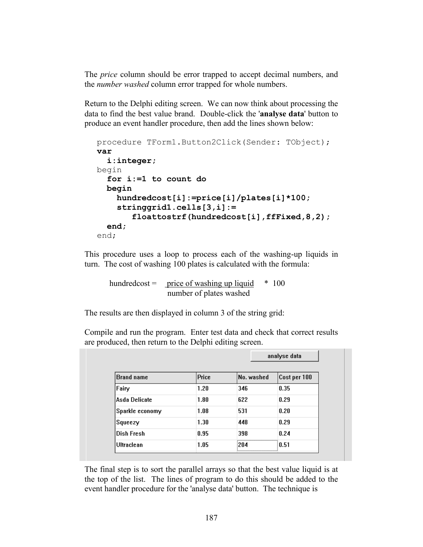The *price* column should be error trapped to accept decimal numbers, and the *number washed* column error trapped for whole numbers.

Return to the Delphi editing screen. We can now think about processing the data to find the best value brand. Double-click the '**analyse data**' button to produce an event handler procedure, then add the lines shown below:

```
procedure TForm1.Button2Click(Sender: TObject);
var
   i:integer;
begin
   for i:=1 to count do
   begin
     hundredcost[i]:=price[i]/plates[i]*100;
     stringgrid1.cells[3,i]:=
        floattostrf(hundredcost[i],ffFixed,8,2);
   end;
end;
```
This procedure uses a loop to process each of the washing-up liquids in turn. The cost of washing 100 plates is calculated with the formula:

hundredcost = price of washing up liquid  $* 100$ number of plates washed

The results are then displayed in column 3 of the string grid:

Compile and run the program. Enter test data and check that correct results are produced, then return to the Delphi editing screen.

|                   |              | analyse data |              |
|-------------------|--------------|--------------|--------------|
| <b>Brand name</b> | <b>Price</b> | No. washed   | Cost per 100 |
| Fairy             | 1.20         | 346          | 0.35         |
| Asda Delicate     | 1.80         | 622          | 0.29         |
| Sparkle economy   | 1.08         | 531          | 0.20         |
| Squeezy           | 1.30         | 448          | 0.29         |
| Dish Fresh        | 0.95         | 398          | 0.24         |
| Ultraclean        | 1.05         | 204          | 0.51         |

The final step is to sort the parallel arrays so that the best value liquid is at the top of the list. The lines of program to do this should be added to the event handler procedure for the 'analyse data' button. The technique is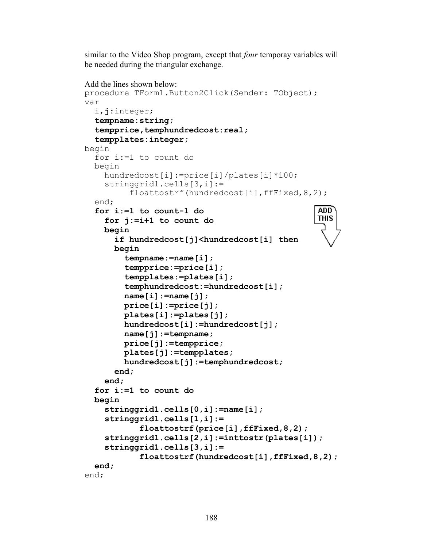similar to the Video Shop program, except that *four* temporay variables will be needed during the triangular exchange.

```
Add the lines shown below:
procedure TForm1.Button2Click(Sender: TObject);
var
   i,j:integer;
   tempname:string;
   tempprice,temphundredcost:real;
   tempplates:integer;
begin
   for i:=1 to count do
   begin
    hundredcost[i]:=price[i]/plates[i]*100;
     stringgrid1.cells[3,i]:=
          floattostrf(hundredcost[i],ffFixed,8,2);
   end;
                                                   ADD
   for i:=1 to count-1 do
                                                   THIS
     for j:=i+1 to count do
     begin
       if hundredcost[j]<hundredcost[i] then
       begin
         tempname:=name[i];
         tempprice:=price[i];
         tempplates:=plates[i];
         temphundredcost:=hundredcost[i];
         name[i]:=name[j];
         price[i]:=price[j];
         plates[i]:=plates[j];
         hundredcost[i]:=hundredcost[j];
         name[j]:=tempname;
         price[j]:=tempprice;
         plates[j]:=tempplates;
         hundredcost[j]:=temphundredcost;
       end;
     end;
   for i:=1 to count do
   begin
     stringgrid1.cells[0,i]:=name[i];
     stringgrid1.cells[1,i]:=
             floattostrf(price[i],ffFixed,8,2);
     stringgrid1.cells[2,i]:=inttostr(plates[i]);
     stringgrid1.cells[3,i]:= 
             floattostrf(hundredcost[i],ffFixed,8,2); 
   end;
end;
```